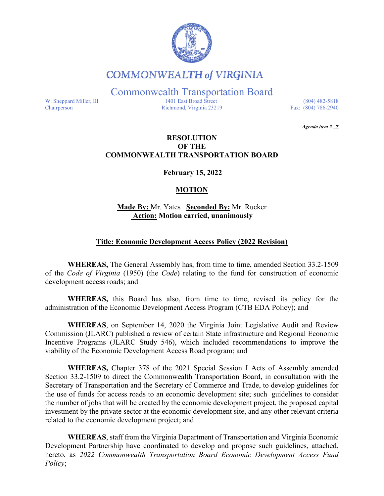

# **COMMONWEALTH of VIRGINIA**

Commonwealth Transportation Board

W. Sheppard Miller, III 1401 East Broad Street (804) 482-5818<br>Chairperson Richmond, Virginia 23219 Fax: (804) 786-2940 Richmond, Virginia 23219

*Agenda item # 7* 

## **RESOLUTION OF THE COMMONWEALTH TRANSPORTATION BOARD**

**February 15, 2022**

# **MOTION**

**Made By:** Mr. Yates **Seconded By:** Mr. Rucker **Action: Motion carried, unanimously**

#### **Title: Economic Development Access Policy (2022 Revision)**

**WHEREAS,** The General Assembly has, from time to time, amended Section 33.2-1509 of the *Code of Virginia* (1950) (the *Code*) relating to the fund for construction of economic development access roads; and

**WHEREAS,** this Board has also, from time to time, revised its policy for the administration of the Economic Development Access Program (CTB EDA Policy); and

**WHEREAS**, on September 14, 2020 the Virginia Joint Legislative Audit and Review Commission (JLARC) published a review of certain State infrastructure and Regional Economic Incentive Programs (JLARC Study 546), which included recommendations to improve the viability of the Economic Development Access Road program; and

**WHEREAS,** Chapter 378 of the 2021 Special Session I Acts of Assembly amended Section 33.2-1509 to direct the Commonwealth Transportation Board, in consultation with the Secretary of Transportation and the Secretary of Commerce and Trade, to develop guidelines for the use of funds for access roads to an economic development site; such guidelines to consider the number of jobs that will be created by the economic development project, the proposed capital investment by the private sector at the economic development site, and any other relevant criteria related to the economic development project; and

**WHEREAS**, staff from the Virginia Department of Transportation and Virginia Economic Development Partnership have coordinated to develop and propose such guidelines, attached, hereto, as *2022 Commonwealth Transportation Board Economic Development Access Fund Policy*;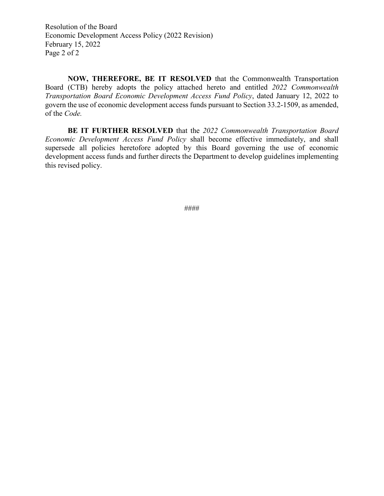Resolution of the Board Economic Development Access Policy (2022 Revision) February 15, 2022 Page 2 of 2

**NOW, THEREFORE, BE IT RESOLVED** that the Commonwealth Transportation Board (CTB) hereby adopts the policy attached hereto and entitled *2022 Commonwealth Transportation Board Economic Development Access Fund Policy*, dated January 12, 2022 to govern the use of economic development access funds pursuant to Section 33.2-1509, as amended, of the *Code.*

**BE IT FURTHER RESOLVED** that the *2022 Commonwealth Transportation Board Economic Development Access Fund Policy* shall become effective immediately, and shall supersede all policies heretofore adopted by this Board governing the use of economic development access funds and further directs the Department to develop guidelines implementing this revised policy.

####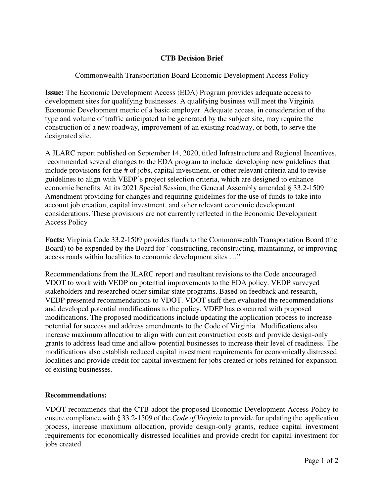# **CTB Decision Brief**

## Commonwealth Transportation Board Economic Development Access Policy

**Issue:** The Economic Development Access (EDA) Program provides adequate access to development sites for qualifying businesses. A qualifying business will meet the Virginia Economic Development metric of a basic employer. Adequate access, in consideration of the type and volume of traffic anticipated to be generated by the subject site, may require the construction of a new roadway, improvement of an existing roadway, or both, to serve the designated site.

A JLARC report published on September 14, 2020, titled Infrastructure and Regional Incentives, recommended several changes to the EDA program to include developing new guidelines that include provisions for the # of jobs, capital investment, or other relevant criteria and to revise guidelines to align with VEDP's project selection criteria, which are designed to enhance economic benefits. At its 2021 Special Session, the General Assembly amended § 33.2-1509 Amendment providing for changes and requiring guidelines for the use of funds to take into account job creation, capital investment, and other relevant economic development considerations. These provisions are not currently reflected in the Economic Development Access Policy

**Facts:** Virginia Code 33.2-1509 provides funds to the Commonwealth Transportation Board (the Board) to be expended by the Board for "constructing, reconstructing, maintaining, or improving access roads within localities to economic development sites …"

Recommendations from the JLARC report and resultant revisions to the Code encouraged VDOT to work with VEDP on potential improvements to the EDA policy. VEDP surveyed stakeholders and researched other similar state programs. Based on feedback and research, VEDP presented recommendations to VDOT. VDOT staff then evaluated the recommendations and developed potential modifications to the policy. VDEP has concurred with proposed modifications. The proposed modifications include updating the application process to increase potential for success and address amendments to the Code of Virginia. Modifications also increase maximum allocation to align with current construction costs and provide design-only grants to address lead time and allow potential businesses to increase their level of readiness. The modifications also establish reduced capital investment requirements for economically distressed localities and provide credit for capital investment for jobs created or jobs retained for expansion of existing businesses.

#### **Recommendations:**

VDOT recommends that the CTB adopt the proposed Economic Development Access Policy to ensure compliance with § 33.2-1509 of the *Code of Virginia* to provide for updating the application process, increase maximum allocation, provide design-only grants, reduce capital investment requirements for economically distressed localities and provide credit for capital investment for jobs created.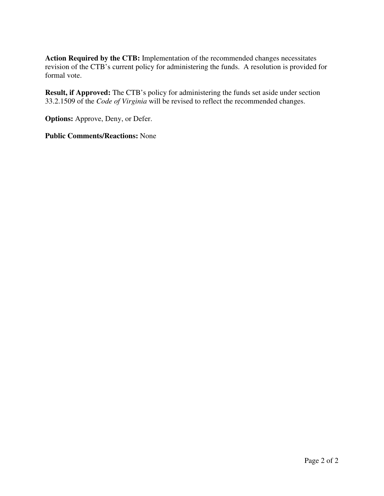**Action Required by the CTB:** Implementation of the recommended changes necessitates revision of the CTB's current policy for administering the funds. A resolution is provided for formal vote.

**Result, if Approved:** The CTB's policy for administering the funds set aside under section 33.2.1509 of the *Code of Virginia* will be revised to reflect the recommended changes.

**Options:** Approve, Deny, or Defer.

#### **Public Comments/Reactions:** None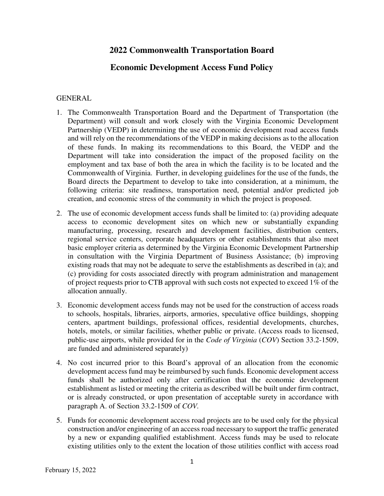# **2022 Commonwealth Transportation Board**

# **Economic Development Access Fund Policy**

#### GENERAL

- 1. The Commonwealth Transportation Board and the Department of Transportation (the Department) will consult and work closely with the Virginia Economic Development Partnership (VEDP) in determining the use of economic development road access funds and will rely on the recommendations of the VEDP in making decisions as to the allocation of these funds. In making its recommendations to this Board, the VEDP and the Department will take into consideration the impact of the proposed facility on the employment and tax base of both the area in which the facility is to be located and the Commonwealth of Virginia. Further, in developing guidelines for the use of the funds, the Board directs the Department to develop to take into consideration, at a minimum, the following criteria: site readiness, transportation need, potential and/or predicted job creation, and economic stress of the community in which the project is proposed.
- 2. The use of economic development access funds shall be limited to: (a) providing adequate access to economic development sites on which new or substantially expanding manufacturing, processing, research and development facilities, distribution centers, regional service centers, corporate headquarters or other establishments that also meet basic employer criteria as determined by the Virginia Economic Development Partnership in consultation with the Virginia Department of Business Assistance; (b) improving existing roads that may not be adequate to serve the establishments as described in (a); and (c) providing for costs associated directly with program administration and management of project requests prior to CTB approval with such costs not expected to exceed 1% of the allocation annually.
- 3. Economic development access funds may not be used for the construction of access roads to schools, hospitals, libraries, airports, armories, speculative office buildings, shopping centers, apartment buildings, professional offices, residential developments, churches, hotels, motels, or similar facilities, whether public or private. (Access roads to licensed, public-use airports, while provided for in the *Code of Virginia* (*COV*) Section 33.2-1509, are funded and administered separately)
- 4. No cost incurred prior to this Board's approval of an allocation from the economic development access fund may be reimbursed by such funds. Economic development access funds shall be authorized only after certification that the economic development establishment as listed or meeting the criteria as described will be built under firm contract, or is already constructed, or upon presentation of acceptable surety in accordance with paragraph A. of Section 33.2-1509 of *COV.*
- 5. Funds for economic development access road projects are to be used only for the physical construction and/or engineering of an access road necessary to support the traffic generated by a new or expanding qualified establishment. Access funds may be used to relocate existing utilities only to the extent the location of those utilities conflict with access road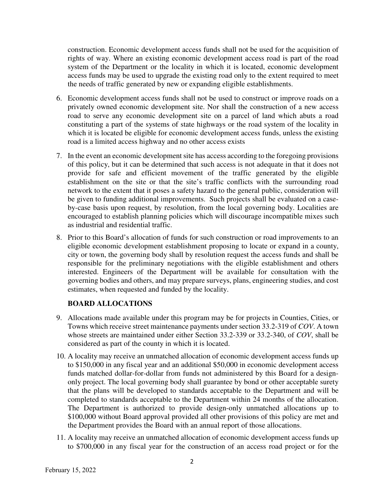construction. Economic development access funds shall not be used for the acquisition of rights of way. Where an existing economic development access road is part of the road system of the Department or the locality in which it is located, economic development access funds may be used to upgrade the existing road only to the extent required to meet the needs of traffic generated by new or expanding eligible establishments.

- 6. Economic development access funds shall not be used to construct or improve roads on a privately owned economic development site. Nor shall the construction of a new access road to serve any economic development site on a parcel of land which abuts a road constituting a part of the systems of state highways or the road system of the locality in which it is located be eligible for economic development access funds, unless the existing road is a limited access highway and no other access exists
- 7. In the event an economic development site has access according to the foregoing provisions of this policy, but it can be determined that such access is not adequate in that it does not provide for safe and efficient movement of the traffic generated by the eligible establishment on the site or that the site's traffic conflicts with the surrounding road network to the extent that it poses a safety hazard to the general public, consideration will be given to funding additional improvements. Such projects shall be evaluated on a caseby-case basis upon request, by resolution, from the local governing body. Localities are encouraged to establish planning policies which will discourage incompatible mixes such as industrial and residential traffic.
- 8. Prior to this Board's allocation of funds for such construction or road improvements to an eligible economic development establishment proposing to locate or expand in a county, city or town, the governing body shall by resolution request the access funds and shall be responsible for the preliminary negotiations with the eligible establishment and others interested. Engineers of the Department will be available for consultation with the governing bodies and others, and may prepare surveys, plans, engineering studies, and cost estimates, when requested and funded by the locality.

# **BOARD ALLOCATIONS**

- 9. Allocations made available under this program may be for projects in Counties, Cities, or Towns which receive street maintenance payments under section 33.2-319 of *COV*. A town whose streets are maintained under either Section 33.2-339 or 33.2-340, of *COV*, shall be considered as part of the county in which it is located.
- 10. A locality may receive an unmatched allocation of economic development access funds up to \$150,000 in any fiscal year and an additional \$50,000 in economic development access funds matched dollar-for-dollar from funds not administered by this Board for a designonly project. The local governing body shall guarantee by bond or other acceptable surety that the plans will be developed to standards acceptable to the Department and will be completed to standards acceptable to the Department within 24 months of the allocation. The Department is authorized to provide design-only unmatched allocations up to \$100,000 without Board approval provided all other provisions of this policy are met and the Department provides the Board with an annual report of those allocations.
- 11. A locality may receive an unmatched allocation of economic development access funds up to \$700,000 in any fiscal year for the construction of an access road project or for the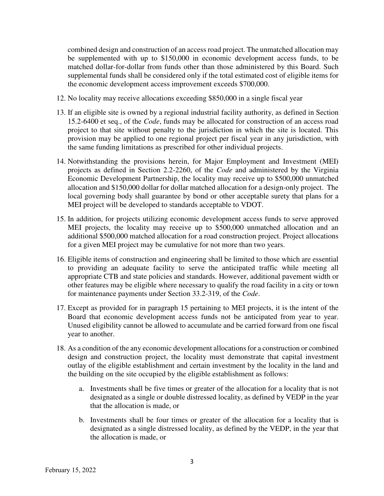combined design and construction of an access road project. The unmatched allocation may be supplemented with up to \$150,000 in economic development access funds, to be matched dollar-for-dollar from funds other than those administered by this Board. Such supplemental funds shall be considered only if the total estimated cost of eligible items for the economic development access improvement exceeds \$700,000.

- 12. No locality may receive allocations exceeding \$850,000 in a single fiscal year
- 13. If an eligible site is owned by a regional industrial facility authority, as defined in Section 15.2-6400 et seq., of the *Code*, funds may be allocated for construction of an access road project to that site without penalty to the jurisdiction in which the site is located. This provision may be applied to one regional project per fiscal year in any jurisdiction, with the same funding limitations as prescribed for other individual projects.
- 14. Notwithstanding the provisions herein, for Major Employment and Investment (MEI) projects as defined in Section 2.2-2260, of the *Code* and administered by the Virginia Economic Development Partnership, the locality may receive up to \$500,000 unmatched allocation and \$150,000 dollar for dollar matched allocation for a design-only project. The local governing body shall guarantee by bond or other acceptable surety that plans for a MEI project will be developed to standards acceptable to VDOT.
- 15. In addition, for projects utilizing economic development access funds to serve approved MEI projects, the locality may receive up to \$500,000 unmatched allocation and an additional \$500,000 matched allocation for a road construction project. Project allocations for a given MEI project may be cumulative for not more than two years.
- 16. Eligible items of construction and engineering shall be limited to those which are essential to providing an adequate facility to serve the anticipated traffic while meeting all appropriate CTB and state policies and standards. However, additional pavement width or other features may be eligible where necessary to qualify the road facility in a city or town for maintenance payments under Section 33.2-319, of the *Code*.
- 17. Except as provided for in paragraph 15 pertaining to MEI projects, it is the intent of the Board that economic development access funds not be anticipated from year to year. Unused eligibility cannot be allowed to accumulate and be carried forward from one fiscal year to another.
- 18. As a condition of the any economic development allocations for a construction or combined design and construction project, the locality must demonstrate that capital investment outlay of the eligible establishment and certain investment by the locality in the land and the building on the site occupied by the eligible establishment as follows:
	- a. Investments shall be five times or greater of the allocation for a locality that is not designated as a single or double distressed locality, as defined by VEDP in the year that the allocation is made, or
	- b. Investments shall be four times or greater of the allocation for a locality that is designated as a single distressed locality, as defined by the VEDP, in the year that the allocation is made, or